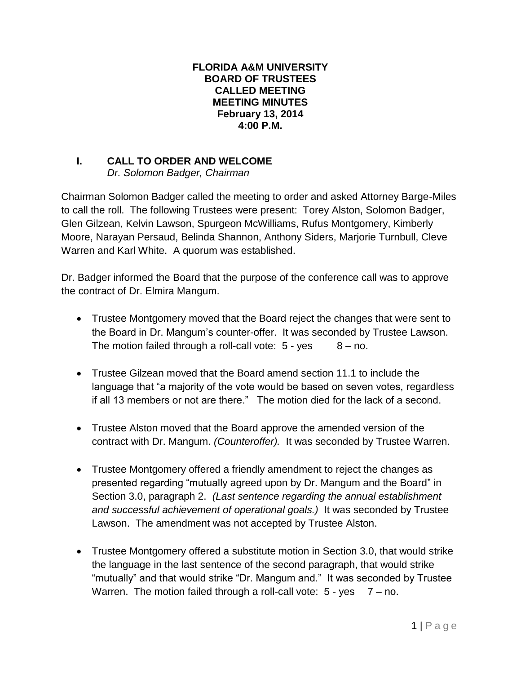## **FLORIDA A&M UNIVERSITY BOARD OF TRUSTEES CALLED MEETING MEETING MINUTES February 13, 2014 4:00 P.M.**

## **I. CALL TO ORDER AND WELCOME**

*Dr. Solomon Badger, Chairman*

Chairman Solomon Badger called the meeting to order and asked Attorney Barge-Miles to call the roll. The following Trustees were present: Torey Alston, Solomon Badger, Glen Gilzean, Kelvin Lawson, Spurgeon McWilliams, Rufus Montgomery, Kimberly Moore, Narayan Persaud, Belinda Shannon, Anthony Siders, Marjorie Turnbull, Cleve Warren and Karl White. A quorum was established.

Dr. Badger informed the Board that the purpose of the conference call was to approve the contract of Dr. Elmira Mangum.

- Trustee Montgomery moved that the Board reject the changes that were sent to the Board in Dr. Mangum's counter-offer. It was seconded by Trustee Lawson. The motion failed through a roll-call vote:  $5 - yes$   $8 - no$ .
- Trustee Gilzean moved that the Board amend section 11.1 to include the language that "a majority of the vote would be based on seven votes, regardless if all 13 members or not are there." The motion died for the lack of a second.
- Trustee Alston moved that the Board approve the amended version of the contract with Dr. Mangum. *(Counteroffer).* It was seconded by Trustee Warren.
- Trustee Montgomery offered a friendly amendment to reject the changes as presented regarding "mutually agreed upon by Dr. Mangum and the Board" in Section 3.0, paragraph 2. *(Last sentence regarding the annual establishment and successful achievement of operational goals.)* It was seconded by Trustee Lawson. The amendment was not accepted by Trustee Alston.
- Trustee Montgomery offered a substitute motion in Section 3.0, that would strike the language in the last sentence of the second paragraph, that would strike "mutually" and that would strike "Dr. Mangum and." It was seconded by Trustee Warren. The motion failed through a roll-call vote:  $5 - yes \quad 7 - no$ .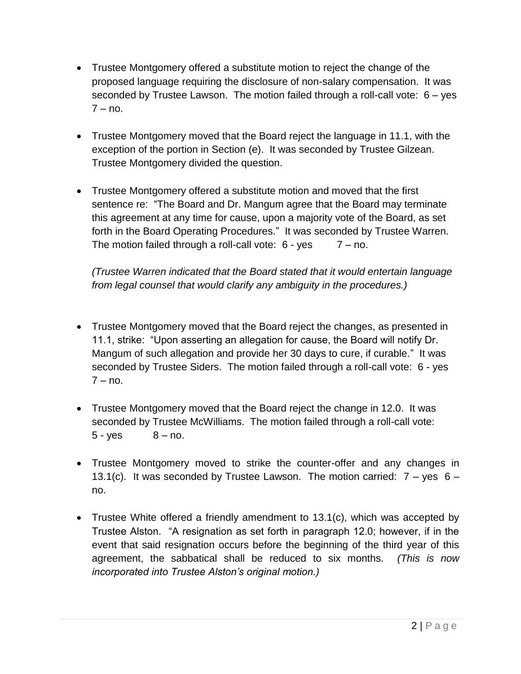- Trustee Montgomery offered a substitute motion to reject the change of the proposed language requiring the disclosure of non-salary compensation. It was seconded by Trustee Lawson. The motion failed through a roll-call vote: 6 – yes  $7 - no$ .
- Trustee Montgomery moved that the Board reject the language in 11.1, with the exception of the portion in Section (e). It was seconded by Trustee Gilzean. Trustee Montgomery divided the question.
- Trustee Montgomery offered a substitute motion and moved that the first sentence re: "The Board and Dr. Mangum agree that the Board may terminate this agreement at any time for cause, upon a majority vote of the Board, as set forth in the Board Operating Procedures." It was seconded by Trustee Warren. The motion failed through a roll-call vote:  $6 - yes = 7 - no$ .

*(Trustee Warren indicated that the Board stated that it would entertain language from legal counsel that would clarify any ambiguity in the procedures.)*

- Trustee Montgomery moved that the Board reject the changes, as presented in 11.1, strike: "Upon asserting an allegation for cause, the Board will notify Dr. Mangum of such allegation and provide her 30 days to cure, if curable." It was seconded by Trustee Siders. The motion failed through a roll-call vote: 6 - yes  $7 - no$ .
- Trustee Montgomery moved that the Board reject the change in 12.0. It was seconded by Trustee McWilliams. The motion failed through a roll-call vote:  $5 - yes$   $8 - no$ .
- Trustee Montgomery moved to strike the counter-offer and any changes in 13.1(c). It was seconded by Trustee Lawson. The motion carried:  $7 - y$ es 6 – no.
- Trustee White offered a friendly amendment to 13.1(c), which was accepted by Trustee Alston. "A resignation as set forth in paragraph 12.0; however, if in the event that said resignation occurs before the beginning of the third year of this agreement, the sabbatical shall be reduced to six months. *(This is now incorporated into Trustee Alston's original motion.)*